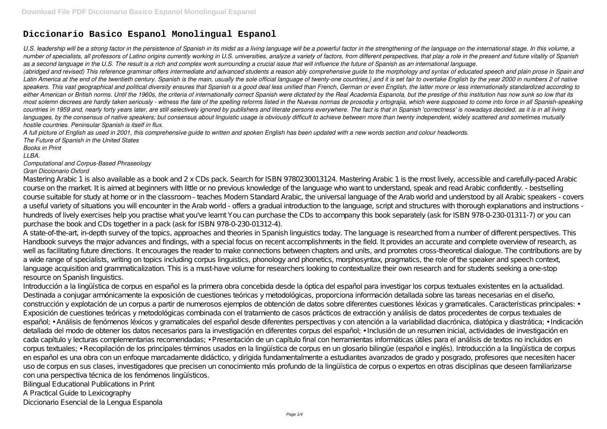# **Diccionario Basico Espanol Monolingual Espanol**

*U.S. leadership will be a strong factor in the persistence of Spanish in its midst as a living language will be a powerful factor in the strengthening of the language on the international stage. In this volume, a number of specialists, all professors of Latino origins currently working in U.S. universities, analyze a variety of factors, from different perspectives, that play a role in the present and future vitality of Spanish as a second language in the U.S. The result is a rich and complex work surrounding a crucial issue that will influence the future of Spanish as an international language. (abridged and revised) This reference grammar offers intermediate and advanced students a reason ably comprehensive guide to the morphology and syntax of educated speech and plain prose in Spain and Latin America at the end of the twentieth century. Spanish is the main, usually the sole official language of twenty-one countries,} and it is set fair to overtake English by the year 2000 in numbers 2 of native speakers. This vast geographical and political diversity ensures that Spanish is a good deal less unified than French, German or even English, the latter more or less internationally standardized according to either American or British norms. Until the 1960s, the criteria of internationally correct Spanish were dictated by the Real Academia Espanola, but the prestige of this institution has now sunk so low that its most solemn decrees are hardly taken seriously - witness the fate of the spelling reforms listed in the Nuevas normas de prosodia y ortograjia, which were supposed to come into force in all Spanish-speaking countries in 1959 and, nearly forty years later, are still selectively ignored by publishers and literate persons everywhere. The fact is that in Spanish 'correctness' is nowadays decided, as it is in all living languages, by the consensus of native speakers; but consensus about linguistic usage is obviously difficult to achieve between more than twenty independent, widely scattered and sometimes mutually hostile countries. Peninsular Spanish is itself in flux.*

*A full picture of English as used in 2001, this comprehensive guide to written and spoken English has been updated with a new words section and colour headwords. The Future of Spanish in the United States*

*Books in Print*

*LLBA.*

## *Computational and Corpus-Based Phraseology Gran Diccionario Oxford*

Mastering Arabic 1 is also available as a book and 2 x CDs pack. Search for ISBN 9780230013124. Mastering Arabic 1 is the most lively, accessible and carefully-paced Arabic course on the market. It is aimed at beginners with little or no previous knowledge of the language who want to understand, speak and read Arabic confidently. - bestselling course suitable for study at home or in the classroom - teaches Modern Standard Arabic, the universal language of the Arab world and understood by all Arabic speakers - covers a useful variety of situations you will encounter in the Arab world - offers a gradual introduction to the language, script and structures with thorough explanations and instructions hundreds of lively exercises help you practise what you've learnt You can purchase the CDs to accompany this book separately (ask for ISBN 978-0-230-01311-7) or you can purchase the book and CDs together in a pack (ask for ISBN 978-0-230-01312-4).

A state-of-the-art, in-depth survey of the topics, approaches and theories in Spanish linguistics today. The language is researched from a number of different perspectives. This Handbook surveys the major advances and findings, with a special focus on recent accomplishments in the field. It provides an accurate and complete overview of research, as well as facilitating future directions. It encourages the reader to make connections between chapters and units, and promotes cross-theoretical dialogue. The contributions are by a wide range of specialists, writing on topics including corpus linguistics, phonology and phonetics, morphosyntax, pragmatics, the role of the speaker and speech context, language acquisition and grammaticalization. This is a must-have volume for researchers looking to contextualize their own research and for students seeking a one-stop resource on Spanish linguistics.

Introducción a la lingüística de corpus en español es la primera obra concebida desde la óptica del español para investigar los corpus textuales existentes en la actualidad. Destinada a conjugar armónicamente la exposición de cuestiones teóricas y metodológicas, proporciona información detallada sobre las tareas necesarias en el diseño, construcción y explotación de un corpus a partir de numerosos ejemplos de obtención de datos sobre diferentes cuestiones léxicas y gramaticales. Características principales: • Exposición de cuestiones teóricas y metodológicas combinada con el tratamiento de casos prácticos de extracción y análisis de datos procedentes de corpus textuales de español; • Análisis de fenómenos léxicos y gramaticales del español desde diferentes perspectivas y con atención a la variabilidad diacrónica, diatópica y diastrática; • Indicación detallada del modo de obtener los datos necesarios para la investigación en diferentes corpus del español; • Inclusión de un resumen inicial, actividades de investigación en cada capítulo y lecturas complementarias recomendadas; • Presentación de un capítulo final con herramientas informáticas útiles para el análisis de textos no incluidos en corpus textuales; • Recopilación de los principales términos usados en la lingüística de corpus en un glosario bilingüe (español e inglés). Introducción a la lingüística de corpus en español es una obra con un enfoque marcadamente didáctico, y dirigida fundamentalmente a estudiantes avanzados de grado y posgrado, profesores que necesiten hacer uso de corpus en sus clases, investigadores que precisen un conocimiento más profundo de la lingüística de corpus o expertos en otras disciplinas que deseen familiarizarse con una perspectiva técnica de los fenómenos lingüísticos.

Bilingual Educational Publications in Print

A Practical Guide to Lexicography

Diccionario Esencial de la Lengua Espanola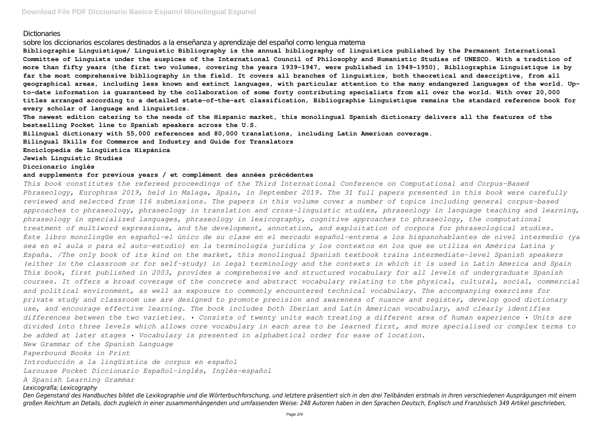## Dictionaries

sobre los diccionarios escolares destinados a la enseñanza y aprendizaje del español como lengua materna

**Bibliographie Linguistique/ Linguistic Bibliography is the annual bibliography of linguistics published by the Permanent International Committee of Linguists under the auspices of the International Council of Philosophy and Humanistic Studies of UNESCO. With a tradition of more than fifty years (the first two volumes, covering the years 1939-1947, were published in 1949-1950), Bibliographie Linguistique is by far the most comprehensive bibliography in the field. It covers all branches of linguistics, both theoretical and descriptive, from all geographical areas, including less known and extinct languages, with particular attention to the many endangered languages of the world. Upto-date information is guaranteed by the collaboration of some forty contributing specialists from all over the world. With over 20,000 titles arranged according to a detailed state-of-the-art classification, Bibliographie Linguistique remains the standard reference book for every scholar of language and linguistics.**

**The newest edition catering to the needs of the Hispanic market, this monolingual Spanish dictionary delivers all the features of the bestselling Pocket line to Spanish speakers across the U.S.**

**Bilingual dictionary with 55,000 references and 80,000 translations, including Latin American coverage.**

**Bilingual Skills for Commerce and Industry and Guide for Translators**

**Enciclopedia de Lingüística Hispánica**

**Jewish Linguistic Studies**

#### **Diccionario inglés**

#### **and supplements for previous years / et complément des années précédentes**

*This book constitutes the refereed proceedings of the Third International Conference on Computational and Corpus-Based Phraseology, Europhras 2019, held in Malaga, Spain, in September 2019. The 31 full papers presented in this book were carefully reviewed and selected from 116 submissions. The papers in this volume cover a number of topics including general corpus-based approaches to phraseology, phraseology in translation and cross-linguistic studies, phraseology in language teaching and learning, phraseology in specialized languages, phraseology in lexicography, cognitive approaches to phraseology, the computational treatment of multiword expressions, and the development, annotation, and exploitation of corpora for phraseological studies. Éste libro monolingüe en español-el único de su clase en el mercado español-entrena a los hispanohablantes de nivel intermedio (ya sea en el aula o para el auto-estudio) en la terminología jurídica y los contextos en los que se utiliza en América Latina y España. /The only book of its kind on the market, this monolingual Spanish textbook trains intermediate-level Spanish speakers (either in the classroom or for self-study) in legal terminology and the contexts in which it is used in Latin America and Spain This book, first published in 2003, provides a comprehensive and structured vocabulary for all levels of undergraduate Spanish courses. It offers a broad coverage of the concrete and abstract vocabulary relating to the physical, cultural, social, commercial and political environment, as well as exposure to commonly encountered technical vocabulary. The accompanying exercises for private study and classroom use are designed to promote precision and awareness of nuance and register, develop good dictionary use, and encourage effective learning. The book includes both Iberian and Latin American vocabulary, and clearly identifies differences between the two varieties. • Consists of twenty units each treating a different area of human experience • Units are divided into three levels which allows core vocabulary in each area to be learned first, and more specialised or complex terms to be added at later stages • Vocabulary is presented in alphabetical order for ease of location. New Grammar of the Spanish Language Paperbound Books in Print Introducción a la lingüística de corpus en español*

*Larousse Pocket Diccionario Español-inglés, Inglés-español*

*A Spanish Learning Grammar*

### *Lexicografía; Lexicography*

*Den Gegenstand des Handbuches bildet die Lexikographie und die Wörterbuchforschung, und letztere präsentiert sich in den drei Teilbänden erstmals in ihren verschiedenen Ausprägungen mit einem großen Reichtum an Details, doch zugleich in einer zusammenhängenden und umfassenden Weise: 248 Autoren haben in den Sprachen Deutsch, Englisch und Französisch 349 Artikel geschrieben,*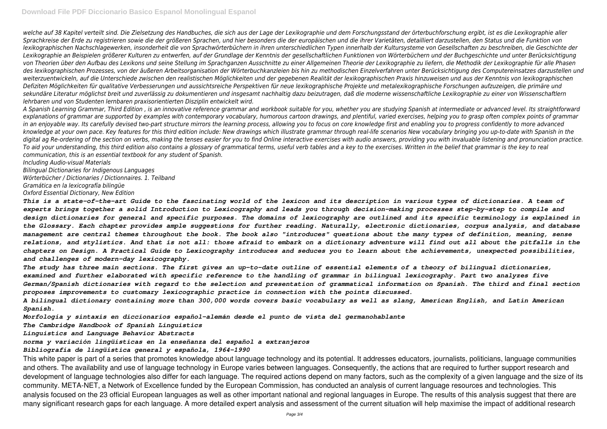*welche auf 38 Kapitel verteilt sind. Die Zielsetzung des Handbuches, die sich aus der Lage der Lexikographie und dem Forschungsstand der örterbuchforschung ergibt, ist es die Lexikographie aller Sprachkreise der Erde zu registrieren sowie die der größeren Sprachen, und hier besonders die der europäischen und die ihrer Varietäten, detailliert darzustellen, den Status und die Funktion von lexikographischen Nachschlagewerken, insonderheit die von Sprachwörterbüchern in ihren unterschiedlichen Typen innerhalb der Kultursysteme von Gesellschaften zu beschreiben, die Geschichte der Lexikographie an Beispielen größerer Kulturen zu entwerfen, auf der Grundlage der Kenntnis der gesellschaftlichen Funktionen von Wörterbüchern und der Buchgeschichte und unter Berücksichtigung von Theorien über den Aufbau des Lexikons und seine Stellung im Sprachganzen Ausschnitte zu einer Allgemeinen Theorie der Lexikographie zu liefern, die Methodik der Lexikographie für alle Phasen des lexikographischen Prozesses, von der äußeren Arbeitsorganisation der Wörterbuchkanzleien bis hin zu methodischen Einzelverfahren unter Berücksichtigung des Computereinsatzes darzustellen und weiterzuentwickeln, auf die Unterschiede zwischen den realistischen Möglichkeiten und der gegebenen Realität der lexikographischen Praxis hinzuweisen und aus der Kenntnis von lexikographischen Defiziten Möglichkeiten für qualitative Verbesserungen und aussichtsreiche Perspektiven für neue lexikographische Projekte und metalexikographische Forschungen aufzuzeigen, die primäre und sekundäre Literatur möglichst breit und zuverlässig zu dokumentieren und insgesamt nachhaltig dazu beizutragen, daß die moderne wissenschaftliche Lexikographie zu einer von Wissenschaftlern lehrbaren und von Studenten lernbaren praxisorientierten Disziplin entwickelt wird.*

*A Spanish Learning Grammar, Third Edition , is an innovative reference grammar and workbook suitable for you, whether you are studying Spanish at intermediate or advanced level. Its straightforward explanations of grammar are supported by examples with contemporary vocabulary, humorous cartoon drawings, and plentiful, varied exercises, helping you to grasp often complex points of grammar in an enjoyable way. Its carefully devised two-part structure mirrors the learning process, allowing you to focus on core knowledge first and enabling you to progress confidently to more advanced knowledge at your own pace. Key features for this third edition include: New drawings which illustrate grammar through real-life scenarios New vocabulary bringing you up-to-date with Spanish in the digital ag Re-ordering of the section on verbs, making the tenses easier for you to find Online interactive exercises with audio answers, providing you with invaluable listening and pronunciation practice. To aid your understanding, this third edition also contains a glossary of grammatical terms, useful verb tables and a key to the exercises. Written in the belief that grammar is the key to real communication, this is an essential textbook for any student of Spanish.*

*Including Audio-visual Materials*

*Bilingual Dictionaries for Indigenous Languages Wörterbücher / Dictionaries / Dictionnaires. 1. Teilband Gramática en la lexicografía bilingüe Oxford Essential Dictionary, New Edition*

*This is a state-of-the-art Guide to the fascinating world of the lexicon and its description in various types of dictionaries. A team of experts brings together a solid Introduction to Lexicography and leads you through decision-making processes step-by-step to compile and design dictionaries for general and specific purposes. The domains of lexicography are outlined and its specific terminology is explained in the Glossary. Each chapter provides ample suggestions for further reading. Naturally, electronic dictionaries, corpus analysis, and database management are central themes throughout the book. The book also "introduces" questions about the many types of definition, meaning, sense relations, and stylistics. And that is not all: those afraid to embark on a dictionary adventure will find out all about the pitfalls in the chapters on Design. A Practical Guide to Lexicography introduces and seduces you to learn about the achievements, unexpected possibilities, and challenges of modern-day lexicography.*

*The study has three main sections. The first gives an up-to-date outline of essential elements of a theory of bilingual dictionaries, examined and further elaborated with specific reference to the handling of grammar in bilingual lexicography. Part two analyzes five German/Spanish dictionaries with regard to the selection and presentation of grammatical information on Spanish. The third and final section proposes improvements to customary lexicographic practice in connection with the points discussed.*

*A bilingual dictionary containing more than 300,000 words covers basic vocabulary as well as slang, American English, and Latin American Spanish.*

*Morfología y sintaxis en diccionarios español-alemán desde el punto de vista del germanohablante*

*The Cambridge Handbook of Spanish Linguistics*

*Linguistics and Language Behavior Abstracts*

## *norma y variación lingüísticas en la enseñanza del español a extranjeros*

## *Bibliografía de lingüística general y española, 1964-1990*

This white paper is part of a series that promotes knowledge about language technology and its potential. It addresses educators, journalists, politicians, language communities and others. The availability and use of language technology in Europe varies between languages. Consequently, the actions that are required to further support research and development of language technologies also differ for each language. The required actions depend on many factors, such as the complexity of a given language and the size of its community. META-NET, a Network of Excellence funded by the European Commission, has conducted an analysis of current language resources and technologies. This analysis focused on the 23 official European languages as well as other important national and regional languages in Europe. The results of this analysis suggest that there are many significant research gaps for each language. A more detailed expert analysis and assessment of the current situation will help maximise the impact of additional research